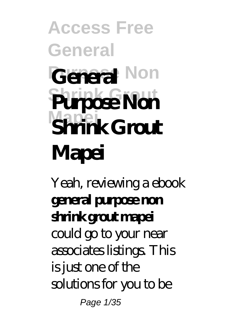**Access Free General General** Non **Shrink Grout Purpose Non Mapei Shrink Grout Mapei**

Yeah, reviewing a ebook **general purpose non shrink grout mapei** could go to your near associates listings. This is just one of the solutions for you to be

Page 1/35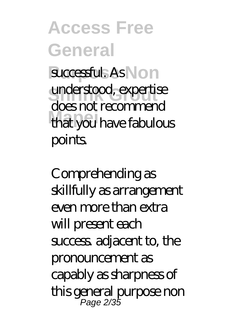**Access Free General** successful. As Non understood, expertise **Mapei** that you have fabulous does not recommend points.

Comprehending as skillfully as arrangement even more than extra will present each success adjacent to, the pronouncement as capably as sharpness of this general purpose non Page 2/35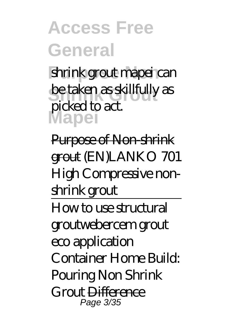shrink grout mapei can be taken as skillfully as **Mapei** picked to act.

Purpose of Non-shrink grout (EN)LANKO 701 High Compressive nonshrink grout How to use structural grout*webercem grout eco application Container Home Build: Pouring Non Shrink Grout* Difference

Page 3/35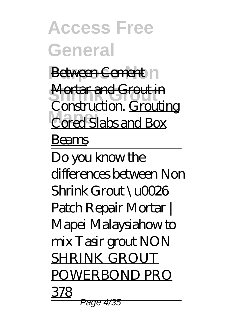**Access Free General Between Cement Mortar and Grout in Cored Slabs and Box** Construction. Grouting Beams Do you know the differences between Non  $Shrink G$ mut  $\Upsilon$ 026 Patch Repair Mortar | Mapei Malaysia*how to mix Tasir grout* NON SHRINK GROUT POWERBOND PRO 378 Page 4/35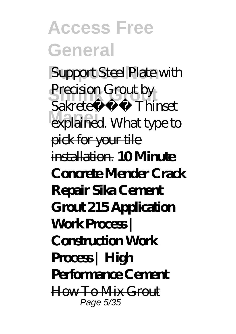**Support Steel Plate with** Precision Grout by **explained. What type to** Sakrete Thinset pick for your tile installation. **10 Minute Concrete Mender Crack Repair Sika Cement Grout 215 Application Work Process | Construction Work Process | High Performance Cement** How To Mix Grout Page 5/35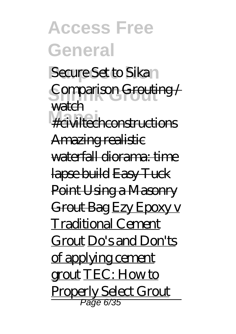**Access Free General** *Secure Set to Sika* **Shrink Grout** *Comparison* Grouting / **Mapei** #civiltechconstructions watch Amazing realistic waterfall diorama: time lapse build Easy Tuck Point Using a Masonry Grout Bag Ezy Epoxy v Traditional Cement Grout Do's and Don'ts of applying cement grout TEC: How to Properly Select Grout

Page 6/35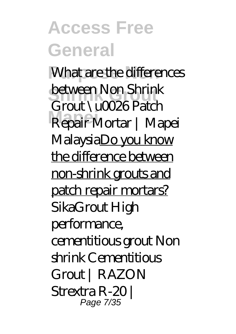**What are the differences Shrink Grout** between Non Shrink **Mapei** Repair Mortar | Mapei Grout \u0026 Patch MalaysiaDo you know the difference between non-shrink grouts and patch repair mortars? *SikaGrout High performance, cementitious grout Non shrink Cementitious Grout | RAZON Strextra R-20 |* Page 7/35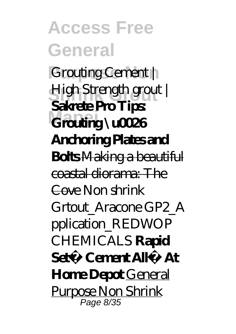**Purpose Non** *Grouting Cement |* **Shrink Grout** *High Strength grout |* Grouting \u0026 **Sakrete Pro Tips: Anchoring Plates and Bolts** Making a beautiful coastal diorama: The Cove *Non shrink Grtout\_Aracone GP2\_A pplication\_REDWOP CHEMICALS* **Rapid Set® Cement All® At Home Depot** General Purpose Non Shrink Page 8/35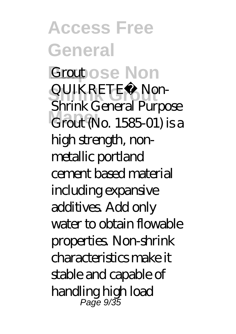**Access Free General** *<u>Groupose</u>* Non **Shrink Grout** QUIKRETE® Non-**Mapei** Grout (No. 1585-01) is a Shrink General Purpose high strength, nonmetallic portland cement based material including expansive additives. Add only water to obtain flowable properties. Non-shrink characteristics make it stable and capable of handling high load Page 9/35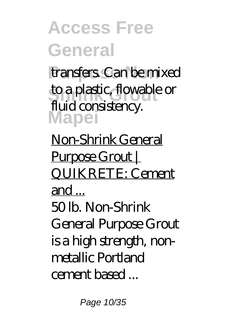transfers. Can be mixed to a plastic, flowable or **Mapei** fluid consistency.

Non-Shrink General Purpose Grout | QUIKRETE: Cement and ... 50 lb. Non-Shrink General Purpose Grout is a high strength, nonmetallic Portland cement based ...

Page 10/35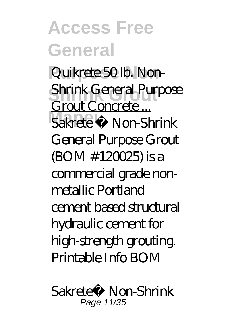Quikrete 50 lb. Non-**Shrink Grout** Shrink General Purpose **Mapei** Sakrete ® Non-Shrink Grout Concrete ... General Purpose Grout (BOM #120025) is a commercial grade nonmetallic Portland cement based structural hydraulic cement for high-strength grouting. Printable Info BOM

Sakrete® Non-Shrink Page 11/35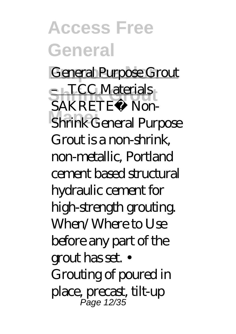**General Purpose Grout Shrink Grout** – TCC Materials **Mapei** Shrink General Purpose SAKRETE® Non-Grout is a non-shrink, non-metallic, Portland cement based structural hydraulic cement for high-strength grouting. When/Where to Use before any part of the grout has set. • Grouting of poured in place, precast, tilt-up Page 12/35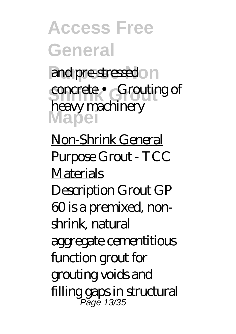**Access Free General** and pre-stressedon concrete • Grouting of **Mapei** heavy machinery

Non-Shrink General Purpose Grout - TCC **Materials** Description Grout GP 60 is a premixed, nonshrink, natural aggregate cementitious function grout for grouting voids and filling gaps in structural Page 13/35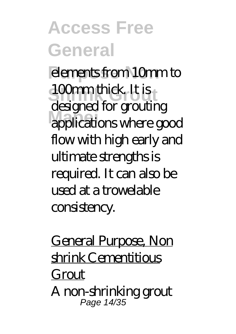**elements from 10mm to** 100mm thick. It is applications where good designed for grouting flow with high early and ultimate strengths is required. It can also be used at a trowelable consistency.

General Purpose, Non shrink Cementitious Grout A non-shrinking grout Page 14/35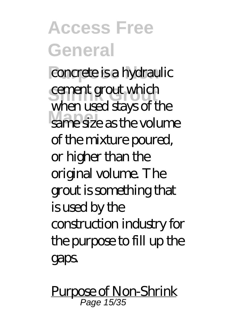**Propose is a hydraulic** cement grout which **Mapei** same size as the volume when used stays of the of the mixture poured, or higher than the original volume. The grout is something that is used by the construction industry for the purpose to fill up the gaps.

Purpose of Non-Shrink Page 15/35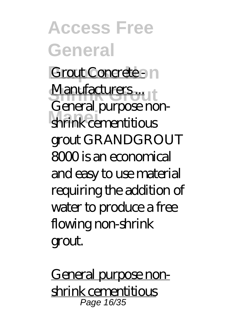**Access Free General Grout Concrete - In Manufacturers ... Mapei** shrink cementitious General purpose nongrout GRANDGROUT 8000 is an economical and easy to use material requiring the addition of water to produce a free flowing non-shrink grout.

General purpose nonshrink cementitious Page 16/35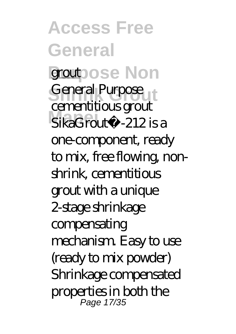**Access Free General grout**pose Non General Purpose **Mapei** SikaGrout®-212 is a cementitious grout one-component, ready to mix, free flowing, nonshrink, cementitious grout with a unique 2-stage shrinkage compensating mechanism. Easy to use (ready to mix powder) Shrinkage compensated properties in both the Page 17/35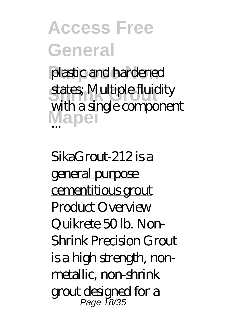plastic and hardened states; Multiple fluidity Mapei with a single component

SikaGrout-212 is a general purpose cementitious grout Product Overview Quikrete 50 lb. Non-Shrink Precision Grout is a high strength, nonmetallic, non-shrink grout designed for a Page 18/35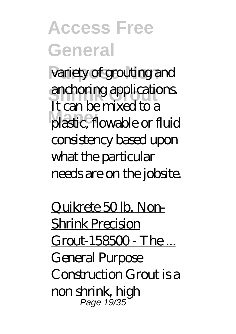variety of grouting and anchoring applications. **Mapei** plastic, flowable or fluid It can be mixed to a consistency based upon what the particular needs are on the jobsite.

Quikrete 50 lb. Non-Shrink Precision Grout-158500 - The ... General Purpose Construction Grout is a non shrink, high Page 19/35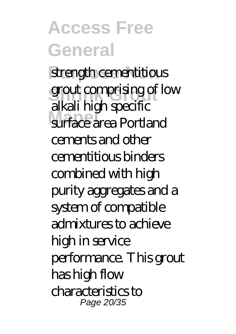strength cementitious grout comprising of low **Mapei** surface area Portland alkali high specific cements and other cementitious binders combined with high purity aggregates and a system of compatible admixtures to achieve high in service performance. This grout has high flow characteristics to Page 20/35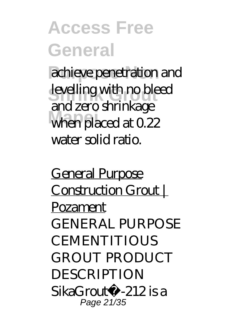achieve penetration and levelling with no bleed when placed at 0.22 and zero shrinkage water solid ratio.

General Purpose Construction Grout | Pozament GENERAL PURPOSE **CEMENTITIOUS** GROUT PRODUCT **DESCRIPTION** SikaGrout®-212 is a Page 21/35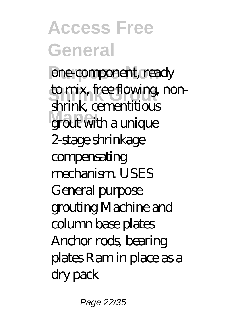**Access Free General** one-component, ready to mix, free flowing, non-**Mapei** grout with a unique shrink, cementitious 2-stage shrinkage compensating mechanism. USES General purpose grouting Machine and column base plates Anchor rods, bearing plates Ram in place as a dry pack

Page 22/35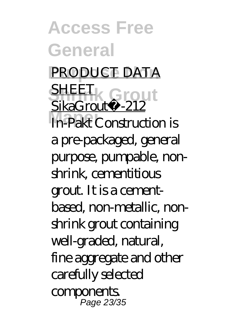**Access Free General PRODUCT DATA Shrink Grout** SikaGrout®-212 **Mapei** In-Pakt Construction is **SHEET** a pre-packaged, general purpose, pumpable, nonshrink, cementitious grout. It is a cementbased, non-metallic, nonshrink grout containing well-graded, natural, fine aggregate and other carefully selected **components** Page 23/35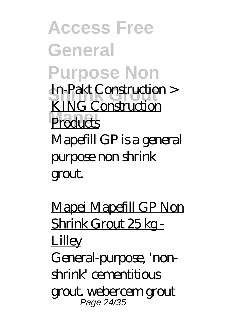**Access Free General Purpose Non In-Pakt Construction > Products** KING Construction Mapefill GP is a general purpose non shrink grout.

Mapei Mapefill GP Non Shrink Grout 25 kg - **Lilley** General-purpose, 'nonshrink' cementitious grout. webercem grout Page 24/35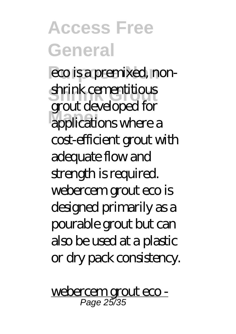eco is a premixed, non-**Shrink Grout** shrink cementitious **Mapei** applications where a grout developed for cost-efficient grout with adequate flow and strength is required. webercem grout eco is designed primarily as a pourable grout but can also be used at a plastic or dry pack consistency.

webercem grout eco - Page 25/35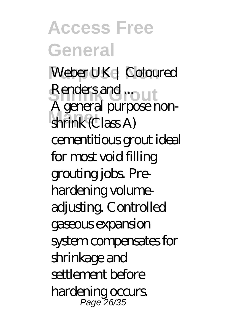**Access Free General** Weber UK | Coloured **Renders and ...**<br>A small wrong **Mapei** shrink (Class A) A general purpose noncementitious grout ideal for most void filling grouting jobs. Prehardening volumeadjusting. Controlled gaseous expansion system compensates for shrinkage and settlement before hardening occurs. Page 26/35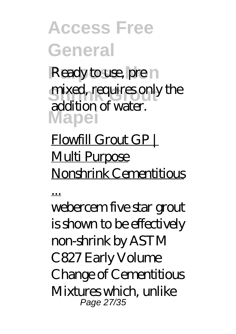**Ready to use, prenti** mixed, requires only the **Mapei** addition of water.

#### Flowfill Grout GP | Multi Purpose Nonshrink Cementitious

...

webercem five star grout is shown to be effectively non-shrink by ASTM C827 Early Volume Change of Cementitious Mixtures which, unlike Page 27/35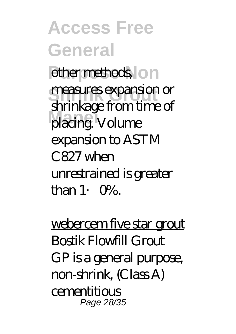**Access Free General Purpose Nonethods measures expansion or Mapei** placing. Volume shrinkage from time of expansion to ASTM C827 when unrestrained is greater than 1.  $O\%$ .

webercem five star grout Bostik Flowfill Grout GP is a general purpose, non-shrink, (Class A) cementitious Page 28/35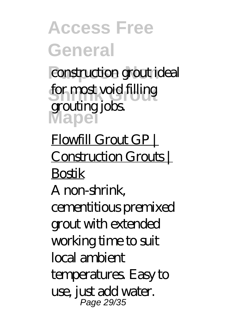*<u>construction</u>* grout ideal for most void filling **Mapei** grouting jobs.

Flowfill Grout GP | Construction Grouts | Bostik A non-shrink, cementitious premixed grout with extended working time to suit local ambient temperatures. Easy to use, just add water. Page 29/35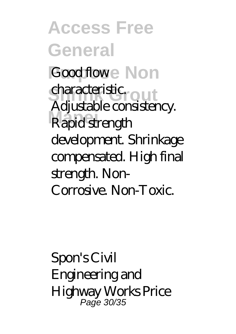**Access Free General Good flowe** Non characteristic<sub>rout</sub> **Mapei** Rapid strength Adjustable consistency. development. Shrinkage compensated. High final strength. Non-Corrosive. Non-Toxic.

Spon's Civil Engineering and Highway Works Price Page 30/35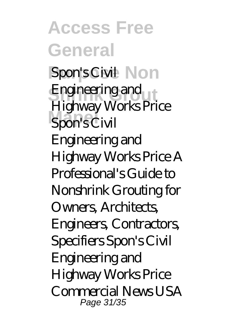**Access Free General Spon's Civil Non** Engineering and<br>U<sup>id</sup>um Spon's Civil Highway Works Price Engineering and Highway Works Price A Professional's Guide to Nonshrink Grouting for Owners, Architects Engineers, Contractors, Specifiers Spon's Civil Engineering and Highway Works Price Commercial News USA Page 31/35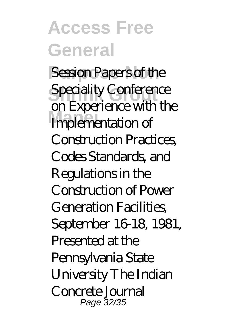**Session Papers of the Speciality Conference Mapei** Implementation of on Experience with the Construction Practices, Codes Standards, and Regulations in the Construction of Power Generation Facilities, September 16-18, 1981, Presented at the Pennsylvania State University The Indian Concrete Journal Page 32/35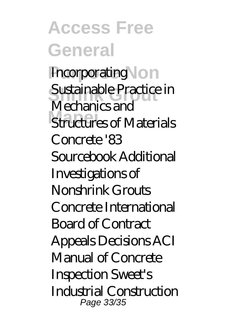**Access Free General Incorporating \on** Sustainable Practice in **Mapei** Structures of Materials Mechanics and Concrete '83 Sourcebook Additional Investigations of Nonshrink Grouts Concrete International Board of Contract Appeals Decisions ACI Manual of Concrete Inspection Sweet's Industrial Construction Page 33/35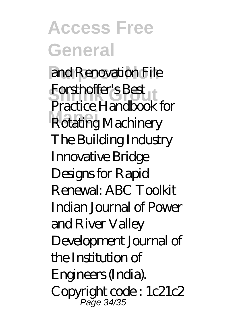**Access Free General** and Renovation File **Shrink Grout** Forsthoffer's Best **Mapei** Rotating Machinery Practice Handbook for The Building Industry Innovative Bridge Designs for Rapid Renewal: ABC Toolkit Indian Journal of Power and River Valley Development Journal of the Institution of Engineers (India). Copyright code : 1c21c2 Page 34/35